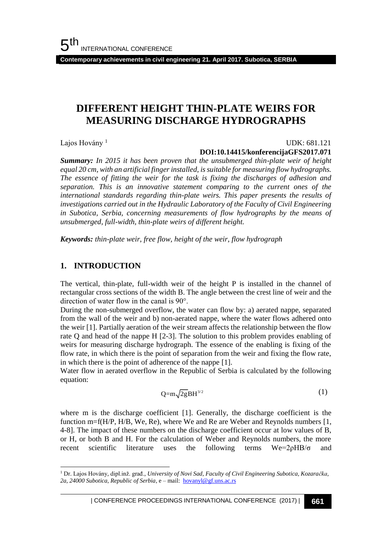**Contemporary achievements in civil engineering 21. April 2017. Subotica, SERBIA**

## **DIFFERENT HEIGHT THIN-PLATE WEIRS FOR MEASURING DISCHARGE HYDROGRAPHS**

Lajos Hovány<sup>1</sup>

#### UDK: 681.121

#### **DOI:10.14415/konferencijaGFS2017.071**

*Summary: In 2015 it has been proven that the unsubmerged thin-plate weir of height equal 20 cm, with an artificial finger installed, is suitable for measuring flow hydrographs. The essence of fitting the weir for the task is fixing the discharges of adhesion and separation. This is an innovative statement comparing to the current ones of the international standards regarding thin-plate weirs. This paper presents the results of investigations carried out in the Hydraulic Laboratory of the Faculty of Civil Engineering in Subotica, Serbia, concerning measurements of flow hydrographs by the means of unsubmerged, full-width, thin-plate weirs of different height.* 

*Keywords: thin-plate weir, free flow, height of the weir, flow hydrograph*

#### **1. INTRODUCTION**

l

The vertical, thin-plate, full-width weir of the height P is installed in the channel of rectangular cross sections of the width B. The angle between the crest line of weir and the direction of water flow in the canal is 90°.

During the non-submerged overflow, the water can flow by: a) aerated nappe, separated from the wall of the weir and b) non-aerated nappe, where the water flows adhered onto the weir [1]. Partially aeration of the weir stream affects the relationship between the flow rate Q and head of the nappe H [2-3]. The solution to this problem provides enabling of weirs for measuring discharge hydrograph. The essence of the enabling is fixing of the flow rate, in which there is the point of separation from the weir and fixing the flow rate, in which there is the point of adherence of the nappe [1].

Water flow in aerated overflow in the Republic of Serbia is calculated by the following equation:

$$
Q = m\sqrt{2g}BH^{3/2}
$$
 (1)

where m is the discharge coefficient [1]. Generally, the discharge coefficient is the function m=f(H/P, H/B, We, Re), where We and Re are Weber and Reynolds numbers [1, 4-8]. The impact of these numbers on the discharge coefficient occur at low values of B, or H, or both B and H. For the calculation of Weber and Reynolds numbers, the more recent scientific literature uses the following terms  $We=2\rho HB/\sigma$  and

<sup>1</sup> Dr. Lajos Hovány, dipl.inž. građ., *University of Novi Sad, Faculty of Civil Engineering Subotica, Kozaračka, 2a, 24000 Subotica, Republic of Serbia*, e – mail: [hovanyl@gf.uns.ac.rs](mailto:hovanyl@gf.uns.ac.rs)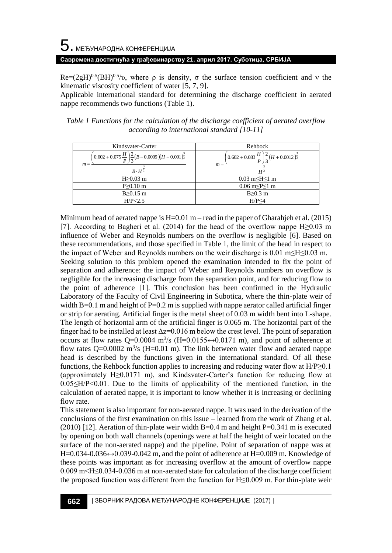# $\mathbf 5$ . међународна конференција

#### **Савремена достигнућа у грађевинарству 21. април 2017. Суботица, СРБИЈА**

 $Re=(2gH)^{0.5}(BH)^{0.5}/v$ , where  $\rho$  is density,  $\sigma$  the surface tension coefficient and v the kinematic viscosity coefficient of water [5, 7, 9].

Applicable international standard for determining the discharge coefficient in aerated nappe recommends two functions (Table 1).

*Table 1 Functions for the calculation of the discharge coefficient of aerated overflow according to international standard [10-11]*

| Kindsvater-Carter                                                                                                                | Rehbock                                                                                                      |  |
|----------------------------------------------------------------------------------------------------------------------------------|--------------------------------------------------------------------------------------------------------------|--|
| $\left(0.602 + 0.075 \frac{H}{P}\right) \frac{2}{3} (B - 0.0009)(H + 0.001)^{\frac{3}{2}}$<br>$m =$<br>$B \cdot H^{\frac{1}{2}}$ | $\left(0.602 + 0.083 \frac{H}{P}\right) \frac{2}{3} \left(H + 0.0012\right)^{\frac{3}{2}}$<br>$m =$<br>$H^2$ |  |
| $H \geq 0.03$ m                                                                                                                  | $0.03 \text{ m} \leq H \leq 1 \text{ m}$                                                                     |  |
| $P > 0.10$ m                                                                                                                     | $0.06 \text{ m} \leq P \leq 1 \text{ m}$                                                                     |  |
| $B>0.15$ m                                                                                                                       | $B>0.3$ m                                                                                                    |  |
| H/P < 2.5                                                                                                                        | H/P < 4                                                                                                      |  |

Minimum head of aerated nappe is  $H=0.01$  m – read in the paper of Gharahjeh et al. (2015) [7]. According to Bagheri et al. (2014) for the head of the overflow nappe H≥0.03 m influence of Weber and Reynolds numbers on the overflow is negligible [6]. Based on these recommendations, and those specified in Table 1, the limit of the head in respect to the impact of Weber and Reynolds numbers on the weir discharge is 0.01 m≤H≤0.03 m. Seeking solution to this problem opened the examination intended to fix the point of separation and adherence: the impact of Weber and Reynolds numbers on overflow is negligible for the increasing discharge from the separation point, and for reducing flow to the point of adherence [1]. This conclusion has been confirmed in the Hydraulic Laboratory of the Faculty of Civil Engineering in Subotica, where the thin-plate weir of width B=0.1 m and height of P=0.2 m is supplied with nappe aerator called artificial finger or strip for aerating. Artificial finger is the metal sheet of 0.03 m width bent into L-shape. The length of horizontal arm of the artificial finger is 0.065 m. The horizontal part of the finger had to be installed at least  $\Delta z = 0.016$  m below the crest level. The point of separation occurs at flow rates Q=0.0004 m<sup>3</sup>/s (H=0.0155 $\leftrightarrow$ 0.0171 m), and point of adherence at flow rates  $Q=0.0002$  m<sup>3</sup>/s (H=0.01 m). The link between water flow and aerated nappe head is described by the functions given in the international standard. Of all these functions, the Rehbock function applies to increasing and reducing water flow at  $H/P \geq 0.1$ (approximately H≥0.0171 m), and Kindsvater-Carter's function for reducing flow at 0.05≤H/P<0.01. Due to the limits of applicability of the mentioned function, in the calculation of aerated nappe, it is important to know whether it is increasing or declining flow rate.

This statement is also important for non-aerated nappe. It was used in the derivation of the conclusions of the first examination on this issue – learned from the work of Zhang et al.  $(2010)$  [12]. Aeration of thin-plate weir width B=0.4 m and height P=0.341 m is executed by opening on both wall channels (openings were at half the height of weir located on the surface of the non-aerated nappe) and the pipeline. Point of separation of nappe was at  $H=0.034-0.036 \leftrightarrow 0.039-0.042$  m, and the point of adherence at  $H=0.009$  m. Knowledge of these points was important as for increasing overflow at the amount of overflow nappe 0.009 m<H≤0.034-0.036 m at non-aerated state for calculation of the discharge coefficient the proposed function was different from the function for H≤0.009 m. For thin-plate weir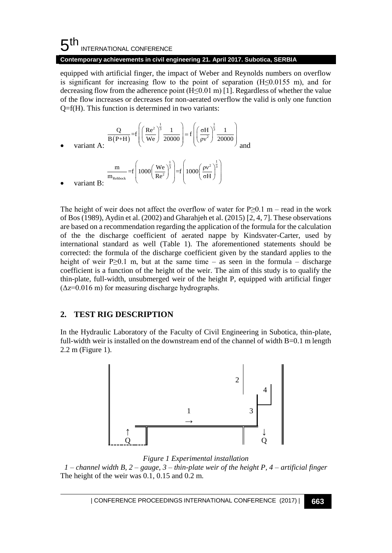#### **Contemporary achievements in civil engineering 21. April 2017. Subotica, SERBIA**

equipped with artificial finger, the impact of Weber and Reynolds numbers on overflow is significant for increasing flow to the point of separation  $(H \le 0.0155$  m), and for decreasing flow from the adherence point  $(H \le 0.01 \text{ m})$  [1]. Regardless of whether the value of the flow increases or decreases for non-aerated overflow the valid is only one function Q=f(H). This function is determined in two variants:

$$
\frac{Q}{B(P+H)} = f\left(\left(\frac{Re^2}{We}\right)^{\frac{1}{3}} \frac{1}{20000}\right) = f\left(\left(\frac{\sigma H}{pv^2}\right)^{\frac{1}{3}} \frac{1}{20000}\right)
$$
\nvariant A:

\n
$$
\frac{m}{m_{\text{Rehback}}} = f\left(1000\left(\frac{We}{Re^2}\right)^{\frac{1}{3}}\right) = f\left(1000\left(\frac{pv^2}{\sigma H}\right)^{\frac{1}{3}}\right)
$$
\nvariant B:

 $R$ ehbock  $Re^2$ 

The height of weir does not affect the overflow of water for  $P \ge 0.1$  m – read in the work of Bos (1989), Aydin et al. (2002) and Gharahjeh et al. (2015) [2, 4, 7]. These observations are based on a recommendation regarding the application of the formula for the calculation of the the discharge coefficient of aerated nappe by Kindsvater-Carter, used by international standard as well (Table 1). The aforementioned statements should be corrected: the formula of the discharge coefficient given by the standard applies to the height of weir P $\geq$ 0.1 m, but at the same time – as seen in the formula – discharge coefficient is a function of the height of the weir. The aim of this study is to qualify the thin-plate, full-width, unsubmerged weir of the height P, equipped with artificial finger  $(\Delta z = 0.016 \text{ m})$  for measuring discharge hydrographs.

σH

### **2. TEST RIG DESCRIPTION**

variant B<sup>.</sup>

In the Hydraulic Laboratory of the Faculty of Civil Engineering in Subotica, thin-plate, full-width weir is installed on the downstream end of the channel of width B=0.1 m length 2.2 m (Figure 1).



*Figure 1 Experimental installation*

*1 – channel width B, 2 – gauge, 3 – thin-plate weir of the height P, 4 – artificial finger* The height of the weir was 0.1, 0.15 and 0.2 m.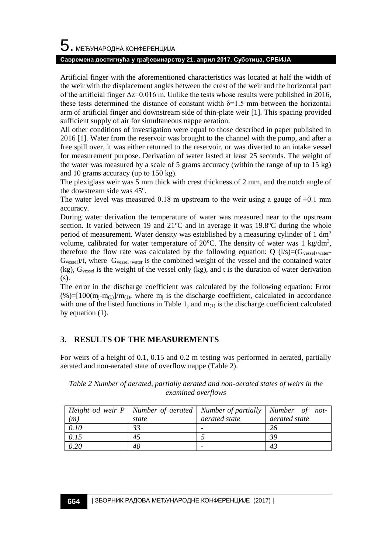## $5$ . међународна конференција

#### **Савремена достигнућа у грађевинарству 21. април 2017. Суботица, СРБИЈА**

Artificial finger with the aforementioned characteristics was located at half the width of the weir with the displacement angles between the crest of the weir and the horizontal part of the artificial finger  $\Delta z = 0.016$  m. Unlike the tests whose results were published in 2016, these tests determined the distance of constant width  $\delta=1.5$  mm between the horizontal arm of artificial finger and downstream side of thin-plate weir [1]. This spacing provided sufficient supply of air for simultaneous nappe aeration.

All other conditions of investigation were equal to those described in paper published in 2016 [1]. Water from the reservoir was brought to the channel with the pump, and after a free spill over, it was either returned to the reservoir, or was diverted to an intake vessel for measurement purpose. Derivation of water lasted at least 25 seconds. The weight of the water was measured by a scale of 5 grams accuracy (within the range of up to 15 kg) and 10 grams accuracy (up to 150 kg).

The plexiglass weir was 5 mm thick with crest thickness of 2 mm, and the notch angle of the dowstream side was 45°.

The water level was measured 0.18 m upstream to the weir using a gauge of  $\pm 0.1$  mm accuracy.

During water derivation the temperature of water was measured near to the upstream section. It varied between 19 and  $21^{\circ}$ C and in average it was 19.8 $^{\circ}$ C during the whole period of measurement. Water density was established by a measuring cylinder of 1  $\text{dm}^3$ volume, calibrated for water temperature of 20 $^{\circ}$ C. The density of water was 1 kg/dm<sup>3</sup>, therefore the flow rate was calculated by the following equation:  $Q(1/s)=(G_{\text{vessel+water}})$  $G_{\text{vessel}}/t$ , where  $G_{\text{vessel+water}}$  is the combined weight of the vessel and the contained water (kg), Gvessel is the weight of the vessel only (kg), and t is the duration of water derivation (s).

The error in the discharge coefficient was calculated by the following equation: Error  $(\%)=[100(m_i-m_{(1)})/m_{(1)},$  where  $m_i$  is the discharge coefficient, calculated in accordance with one of the listed functions in Table 1, and  $m_{(1)}$  is the discharge coefficient calculated by equation (1).

### **3. RESULTS OF THE MEASUREMENTS**

For weirs of a height of 0.1, 0.15 and 0.2 m testing was performed in aerated, partially aerated and non-aerated state of overflow nappe (Table 2).

| (m)  | state | Height od weir $P \mid$ Number of aerated   Number of partially   Number of not-<br>aerated state | aerated state |
|------|-------|---------------------------------------------------------------------------------------------------|---------------|
| 0.10 | 33    |                                                                                                   | 26            |
| 0.15 | 45    |                                                                                                   | 39            |
| 0.20 | 40    |                                                                                                   | 43            |

*Table 2 Number of aerated, partially aerated and non-aerated states of weirs in the examined overflows*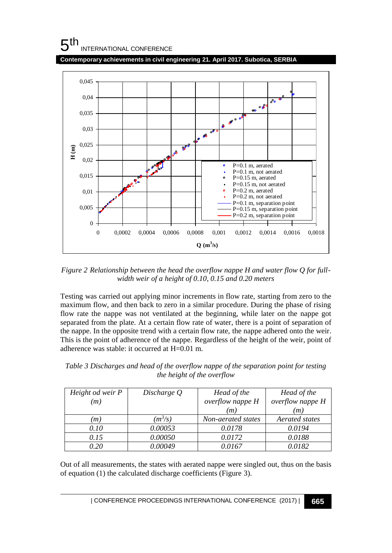**Contemporary achievements in civil engineering 21. April 2017. Subotica, SERBIA**



*Figure 2 Relationship between the head the overflow nappe H and water flow Q for fullwidth weir of a height of 0.10, 0.15 and 0.20 meters*

Testing was carried out applying minor increments in flow rate, starting from zero to the maximum flow, and then back to zero in a similar procedure. During the phase of rising flow rate the nappe was not ventilated at the beginning, while later on the nappe got separated from the plate. At a certain flow rate of water, there is a point of separation of the nappe. In the opposite trend with a certain flow rate, the nappe adhered onto the weir. This is the point of adherence of the nappe. Regardless of the height of the weir, point of adherence was stable: it occurred at H=0.01 m.

*Table 3 Discharges and head of the overflow nappe of the separation point for testing the height of the overflow*

| Height od weir P<br>(m) | Discharge Q | Head of the<br>overflow nappe H<br>(m) | Head of the<br>overflow nappe H<br>(m) |
|-------------------------|-------------|----------------------------------------|----------------------------------------|
| m                       | $(m^3/s)$   | Non-aerated states                     | Aerated states                         |
| 0.10                    | 0.00053     | 0.0178                                 | 0.0194                                 |
| 0.15                    | 0.00050     | 0.0172                                 | 0.0188                                 |
| 0.20                    | 0.00049     | 0.0167                                 | 0.0182                                 |

Out of all measurements, the states with aerated nappe were singled out, thus on the basis of equation (1) the calculated discharge coefficients (Figure 3).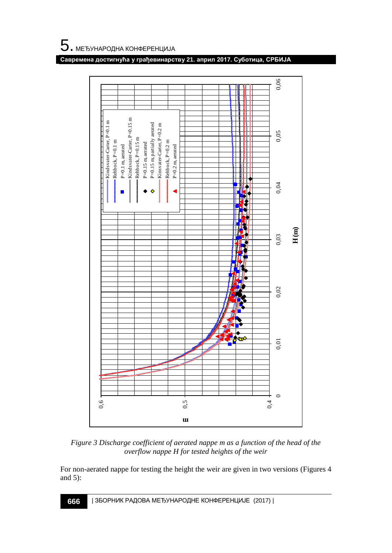



*Figure 3 Discharge coefficient of aerated nappe m as a function of the head of the overflow nappe H for tested heights of the weir*

For non-aerated nappe for testing the height the weir are given in two versions (Figures 4 and 5):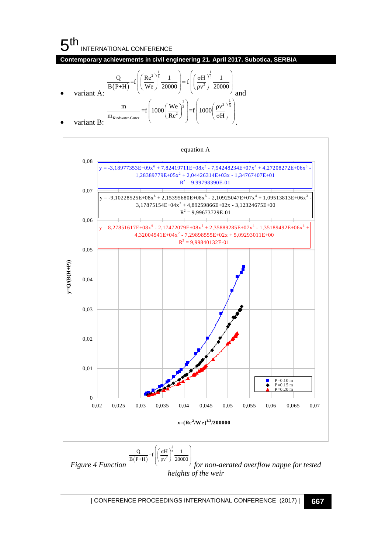#### $5<sup>th</sup>$ INTERNATIONAL CONFERENCE

**Contemporary achievements in civil engineering 21. April 2017. Subotica, SERBIA**  
\n
$$
\frac{Q}{B(P+H)} = f\left(\frac{Re^{2}}{We}\right)^{\frac{1}{3}} \frac{1}{20000} = f\left(\frac{\sigma H}{p v^{2}}\right)^{\frac{1}{3}} \frac{1}{20000}
$$
\n
$$
\text{variant A: } \frac{m}{m_{\text{Kindwater-Carter}}} = f\left(1000\left(\frac{We}{Re^{2}}\right)^{\frac{1}{3}}\right) = f\left(1000\left(\frac{pv^{2}}{\sigma H}\right)^{\frac{1}{3}}\right)
$$
\n
$$
\text{variant B: } \frac{Q}{Q} = \frac{1}{2} \left(1000\left(\frac{V}{Re^{2}}\right)^{\frac{1}{3}}\right)
$$



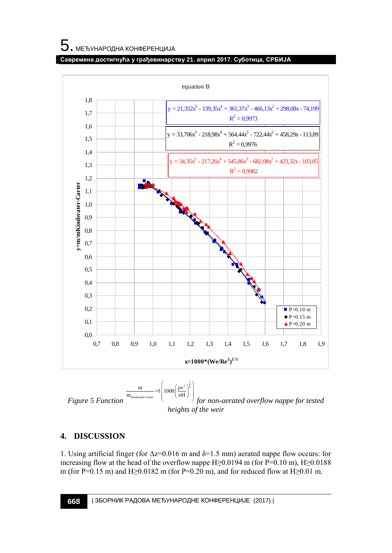#### **Савремена достигнућа у грађевинарству 21. април 2017. Суботица, СРБИЈА**



### **4. DISCUSSION**

1. Using artificial finger (for  $Δz=0.016$  m and  $δ=1.5$  mm) aerated nappe flow occurs: for increasing flow at the head of the overflow nappe H≥0.0194 m (for P=0.10 m), H≥0.0188 m (for P=0.15 m) and H≥0.0182 m (for P=0.20 m), and for reduced flow at H≥0.01 m.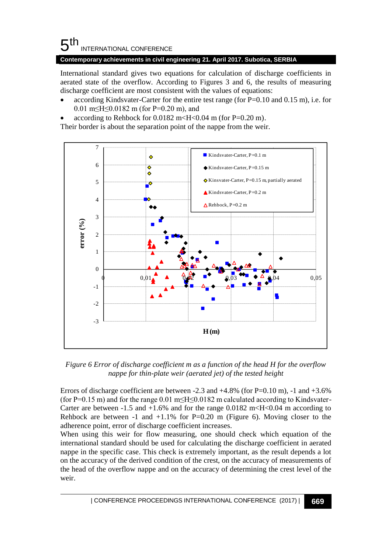**Contemporary achievements in civil engineering 21. April 2017. Subotica, SERBIA**

International standard gives two equations for calculation of discharge coefficients in aerated state of the overflow. According to Figures 3 and 6, the results of measuring discharge coefficient are most consistent with the values of equations:

- according Kindsvater-Carter for the entire test range (for P=0.10 and 0.15 m), i.e. for 0.01 m≤H≤0.0182 m (for P=0.20 m), and
- according to Rehbock for  $0.0182 \text{ m}$  <H < 0.04 m (for P=0.20 m).

Their border is about the separation point of the nappe from the weir.



*Figure 6 Error of discharge coefficient m as a function of the head H for the overflow nappe for thin-plate weir (aerated jet) of the tested height*

Errors of discharge coefficient are between -2.3 and  $+4.8\%$  (for P=0.10 m), -1 and  $+3.6\%$ (for P=0.15 m) and for the range 0.01 m  $H \le 0.0182$  m calculated according to Kindsvater-Carter are between -1.5 and +1.6% and for the range  $0.0182 \text{ m}$  <H <0.04 m according to Rehbock are between -1 and  $+1.1\%$  for P=0.20 m (Figure 6). Moving closer to the adherence point, error of discharge coefficient increases.

When using this weir for flow measuring, one should check which equation of the international standard should be used for calculating the discharge coefficient in aerated nappe in the specific case. This check is extremely important, as the result depends a lot on the accuracy of the derived condition of the crest, on the accuracy of measurements of the head of the overflow nappe and on the accuracy of determining the crest level of the weir.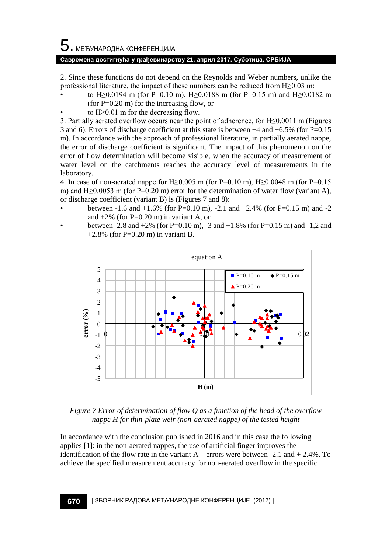#### **Савремена достигнућа у грађевинарству 21. април 2017. Суботица, СРБИЈА**

2. Since these functions do not depend on the Reynolds and Weber numbers, unlike the professional literature, the impact of these numbers can be reduced from H≥0.03 m:

- to H≥0.0194 m (for P=0.10 m), H≥0.0188 m (for P=0.15 m) and H≥0.0182 m (for  $P=0.20$  m) for the increasing flow, or
- to  $H \geq 0.01$  m for the decreasing flow.

3. Partially aerated overflow occurs near the point of adherence, for H≤0.0011 m (Figures 3 and 6). Errors of discharge coefficient at this state is between +4 and +6.5% (for P=0.15 m). In accordance with the approach of professional literature, in partially aerated nappe, the error of discharge coefficient is significant. The impact of this phenomenon on the error of flow determination will become visible, when the accuracy of measurement of water level on the catchments reaches the accuracy level of measurements in the laboratory.

4. In case of non-aerated nappe for H $\geq$ 0.005 m (for P=0.10 m), H $\geq$ 0.0048 m (for P=0.15 m) and H $\geq$ 0.0053 m (for P=0.20 m) error for the determination of water flow (variant A), or discharge coefficient (variant B) is (Figures 7 and 8):

- between  $-1.6$  and  $+1.6\%$  (for P=0.10 m),  $-2.1$  and  $+2.4\%$  (for P=0.15 m) and  $-2$ and  $+2\%$  (for P=0.20 m) in variant A, or
- between -2.8 and  $+2\%$  (for P=0.10 m), -3 and  $+1.8\%$  (for P=0.15 m) and -1,2 and  $+2.8\%$  (for P=0.20 m) in variant B.



*Figure 7 Error of determination of flow Q as a function of the head of the overflow nappe H for thin-plate weir (non-aerated nappe) of the tested height*

In accordance with the conclusion published in 2016 and in this case the following applies [1]: in the non-aerated nappes, the use of artificial finger improves the identification of the flow rate in the variant  $A$  – errors were between -2.1 and + 2.4%. To achieve the specified measurement accuracy for non-aerated overflow in the specific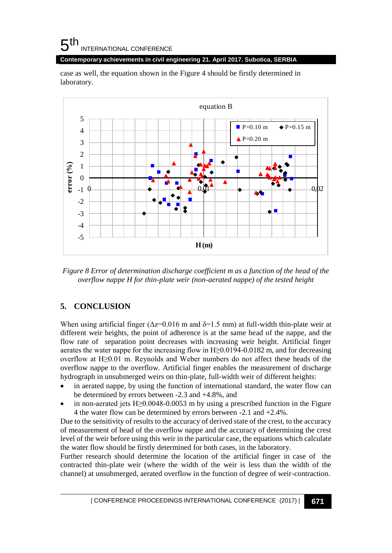#### **Contemporary achievements in civil engineering 21. April 2017. Subotica, SERBIA**

case as well, the equation shown in the Figure 4 should be firstly determined in laboratory.



*Figure 8 Error of determination discharge coefficient m as a function of the head of the overflow nappe H for thin-plate weir (non-aerated nappe) of the tested height*

## **5. CONCLUSION**

When using artificial finger ( $\Delta z = 0.016$  m and  $\delta = 1.5$  mm) at full-width thin-plate weir at different weir heights, the point of adherence is at the same head of the nappe, and the flow rate of separation point decreases with increasing weir height. Artificial finger aerates the water nappe for the increasing flow in H≥0.0194-0.0182 m, and for decreasing overflow at H≥0.01 m. Reynolds and Weber numbers do not affect these heads of the overflow nappe to the overflow. Artificial finger enables the measurement of discharge hydrograph in unsubmerged weirs on thin-plate, full-width weir of different heights:

- in aerated nappe, by using the function of international standard, the water flow can be determined by errors between -2.3 and +4.8%, and
- in non-aerated jets H≥0.0048-0.0053 m by using a prescribed function in the Figure 4 the water flow can be determined by errors between -2.1 and +2.4%.

Due to the sensitivity of results to the accuracy of derived state of the crest, to the accuracy of measurement of head of the overflow nappe and the accuracy of determining the crest level of the weir before using this weir in the particular case, the equations which calculate the water flow should be firstly determined for both cases, in the laboratory.

Further research should determine the location of the artificial finger in case of the contracted thin-plate weir (where the width of the weir is less than the width of the channel) at unsubmerged, aerated overflow in the function of degree of weir-contraction.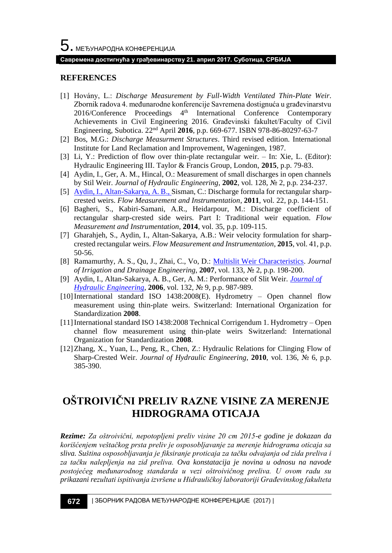#### **Савремена достигнућа у грађевинарству 21. април 2017. Суботица, СРБИЈА**

#### **REFERENCES**

- [1] Hovány, L.: *Discharge Measurement by Full-Width Ventilated Thin-Plate Weir*. Zbornik radova 4. međunarodne konferencije Savremena dostignuća u građevinarstvu 2016/Conference Proceedings 4<sup>th</sup> International Conference Contemporary Achievements in Civil Engineering 2016. Građevinski fakultet/Faculty of Civil Engineering, Subotica. 22nd April **2016**, p.p. 669-677. ISBN 978-86-80297-63-7
- [2] Bos, M.G.: *Discharge Measurment Structures*. Third revised edition. International Institute for Land Reclamation and Improvement, Wageningen, 1987.
- [3] Li, Y.: Prediction of flow over thin-plate rectangular weir. In: Xie, L. (Editor): Hydraulic Engineering III. Taylor & Francis Group, London, **2015**, p.p. 79-83.
- [4] Aydin, I., Ger, A. M., Hincal, O.: Measurement of small discharges in open channels by Stil Weir. *Journal of Hydraulic Engineering*, **2002**, vol. 128, № 2, p.p. 234-237.
- [5] [Aydin, I., Altan-Sakarya, A. B., S](http://www.researchgate.net/profile/Ismail_Aydin2)isman, C.: Discharge formula for rectangular sharpcrested weirs. *Flow Measurement and Instrumentation*, **2011**, vol. 22, p.p. 144-151.
- [6] Bagheri, S., Kabiri-Samani, A.R., Heidarpour, M.: Discharge coefficient of rectangular sharp-crested side weirs. Part I: Traditional weir equation. *Flow Measurement and Instrumentation*, **2014**, vol. 35, p.p. 109-115.
- [7] Gharahjeh, S., Aydin, I., Altan-Sakarya, A.B.: Weir velocity formulation for sharpcrested rectangular weirs. *Flow Measurement and Instrumentation*, **2015**, vol. 41, p.p. 50-56.
- [8] Ramamurthy, A. S., Qu, J., Zhai, C., Vo, D.: [Multislit Weir Characteristics.](http://eds.a.ebscohost.com/eds/viewarticle/render?data=dGJyMPPp44rp2%2fdV0%2bnjisfk5Ie46bJQrqe3TLek63nn5Kx94um%2bSbCltEewpq9Onqe4S7ews1Cet8s%2b8ujfhvHX4Yzn5eyB4rOvUK6ssUyvrbNNpOLfhuWz44ak2uBV3%2bbmPvLX5VW%2fxKR57LOwTLGus0yxrqR%2b7ejrefKz5I3q4vJ99uqkf%2fPb8Yy7yvCN4wAA&vid=1&sid=eb1420f1-1797-4708-8a5f-bc09e0df4895@sessionmgr4010&hid=4110) *Journal of Irrigation and Drainage Engineering*, **2007**, vol. 133, № 2, p.p. 198-200.
- [9] Aydin, I., Altan-Sakarya, A. B., Ger, A. M.: Performance of Slit Weir. *[Journal of](http://ascelibrary.org/journal/jhend8)  [Hydraulic Engineering](http://ascelibrary.org/journal/jhend8)*, **2006**, vol. 132, № 9, p.p. 987-989.
- [10]International standard ISO 1438:2008(E). Hydrometry Open channel flow measurement using thin-plate weirs. Switzerland: International Organization for Standardization **2008**.
- [11]International standard ISO 1438:2008 Technical Corrigendum 1. Hydrometry Open channel flow measurement using thin-plate weirs Switzerland: International Organization for Standardization **2008**.
- [12]Zhang, X., Yuan, L., Peng, R., Chen, Z.: Hydraulic Relations for Clinging Flow of Sharp-Crested Weir. *Journal of Hydraulic Engineering*, **2010**, vol. 136, № 6, p.p. 385-390.

## **OŠTROIVIČNI PRELIV RAZNE VISINE ZA MERENJE HIDROGRAMA OTICAJA**

*Rezime: Za oštroivični, nepotopljeni preliv visine 20 cm 2015-e godine je dokazan da korišćenjem veštačkog prsta preliv je osposobljavanje za merenje hidrograma oticaja sa sliva. Suština osposobljavanja je fiksiranje proticaja za tačku odvajanja od zida preliva i za tačku nalepljenja na zid preliva. Ova konstatacija je novina u odnosu na navode postojećeg međunarodnog standarda u vezi oštroivičnog preliva. U ovom radu su prikazani rezultati ispitivanja izvršene u Hidrauličkoj laboratoriji Građevinskog fakulteta*